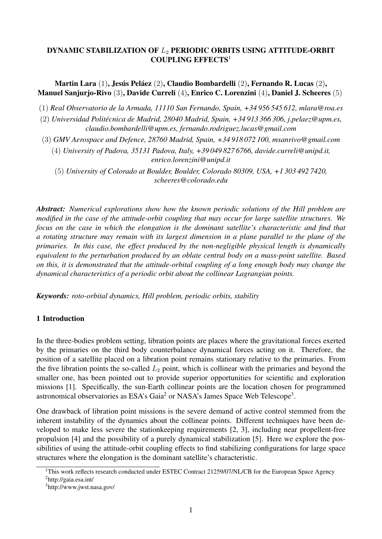## DYNAMIC STABILIZATION OF  $L_2$  PERIODIC ORBITS USING ATTITUDE-ORBIT COUPLING EFFECTS<sup>1</sup>

Martin Lara (1), Jesús Peláez (2), Claudio Bombardelli (2), Fernando R. Lucas (2), Manuel Sanjurjo-Rivo (3), Davide Curreli (4), Enrico C. Lorenzini (4), Daniel J. Scheeres (5)

(1) *Real Observatorio de la Armada, 11110 San Fernando, Spain, +34 956 545 612, mlara@roa.es*

(2) *Universidad Politécnica de Madrid, 28040 Madrid, Spain, +34 913 366 306, j.pelaez@upm.es, claudio.bombardelli@upm.es, fernando.rodriguez.lucas@gmail.com*

(3) *GMV Aerospace and Defence, 28760 Madrid, Spain, +34 918 072 100, msanrivo@gmail.com*

(4) *University of Padova, 35131 Padova, Italy, +39 049 827 6766, davide.curreli@unipd.it, enrico.lorenzini@unipd.it*

(5) *University of Colorado at Boulder, Boulder, Colorado 80309, USA, +1 303 492 7420, scheeres@colorado.edu*

*Abstract: Numerical explorations show how the known periodic solutions of the Hill problem are modified in the case of the attitude-orbit coupling that may occur for large satellite structures. We focus on the case in which the elongation is the dominant satellite's characteristic and find that a rotating structure may remain with its largest dimension in a plane parallel to the plane of the primaries. In this case, the effect produced by the non-negligible physical length is dynamically equivalent to the perturbation produced by an oblate central body on a mass-point satellite. Based on this, it is demonstrated that the attitude-orbital coupling of a long enough body may change the dynamical characteristics of a periodic orbit about the collinear Lagrangian points.*

*Keywords: roto-orbital dynamics, Hill problem, periodic orbits, stability*

## 1 Introduction

In the three-bodies problem setting, libration points are places where the gravitational forces exerted by the primaries on the third body counterbalance dynamical forces acting on it. Therefore, the position of a satellite placed on a libration point remains stationary relative to the primaries. From the five libration points the so-called  $L_2$  point, which is collinear with the primaries and beyond the smaller one, has been pointed out to provide superior opportunities for scientific and exploration missions [1]. Specifically, the sun-Earth collinear points are the location chosen for programmed astronomical observatories as ESA's Gaia<sup>2</sup> or NASA's James Space Web Telescope<sup>3</sup>.

One drawback of libration point missions is the severe demand of active control stemmed from the inherent instability of the dynamics about the collinear points. Different techniques have been developed to make less severe the stationkeeping requirements [2, 3], including near propellent-free propulsion [4] and the possibility of a purely dynamical stabilization [5]. Here we explore the possibilities of using the attitude-orbit coupling effects to find stabilizing configurations for large space structures where the elongation is the dominant satellite's characteristic.

<sup>&</sup>lt;sup>1</sup>This work reflects research conducted under ESTEC Contract 21259/07/NL/CB for the European Space Agency

<sup>2</sup>http://gaia.esa.int/

<sup>3</sup>http://www.jwst.nasa.gov/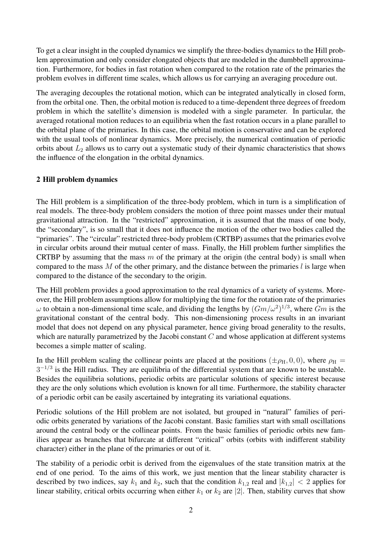To get a clear insight in the coupled dynamics we simplify the three-bodies dynamics to the Hill problem approximation and only consider elongated objects that are modeled in the dumbbell approximation. Furthermore, for bodies in fast rotation when compared to the rotation rate of the primaries the problem evolves in different time scales, which allows us for carrying an averaging procedure out.

The averaging decouples the rotational motion, which can be integrated analytically in closed form, from the orbital one. Then, the orbital motion is reduced to a time-dependent three degrees of freedom problem in which the satellite's dimension is modeled with a single parameter. In particular, the averaged rotational motion reduces to an equilibria when the fast rotation occurs in a plane parallel to the orbital plane of the primaries. In this case, the orbital motion is conservative and can be explored with the usual tools of nonlinear dynamics. More precisely, the numerical continuation of periodic orbits about  $L_2$  allows us to carry out a systematic study of their dynamic characteristics that shows the influence of the elongation in the orbital dynamics.

# 2 Hill problem dynamics

The Hill problem is a simplification of the three-body problem, which in turn is a simplification of real models. The three-body problem considers the motion of three point masses under their mutual gravitational attraction. In the "restricted" approximation, it is assumed that the mass of one body, the "secondary", is so small that it does not influence the motion of the other two bodies called the "primaries". The "circular" restricted three-body problem (CRTBP) assumes that the primaries evolve in circular orbits around their mutual center of mass. Finally, the Hill problem further simplifies the CRTBP by assuming that the mass  $m$  of the primary at the origin (the central body) is small when compared to the mass  $M$  of the other primary, and the distance between the primaries  $l$  is large when compared to the distance of the secondary to the origin.

The Hill problem provides a good approximation to the real dynamics of a variety of systems. Moreover, the Hill problem assumptions allow for multiplying the time for the rotation rate of the primaries  $\omega$  to obtain a non-dimensional time scale, and dividing the lengths by  $(Gm/\omega^2)^{1/3}$ , where  $Gm$  is the gravitational constant of the central body. This non-dimensioning process results in an invariant model that does not depend on any physical parameter, hence giving broad generality to the results, which are naturally parametrized by the Jacobi constant  $C$  and whose application at different systems becomes a simple matter of scaling.

In the Hill problem scaling the collinear points are placed at the positions ( $\pm \rho_H$ , 0, 0), where  $\rho_H$  =  $3<sup>-1/3</sup>$  is the Hill radius. They are equilibria of the differential system that are known to be unstable. Besides the equilibria solutions, periodic orbits are particular solutions of specific interest because they are the only solutions which evolution is known for all time. Furthermore, the stability character of a periodic orbit can be easily ascertained by integrating its variational equations.

Periodic solutions of the Hill problem are not isolated, but grouped in "natural" families of periodic orbits generated by variations of the Jacobi constant. Basic families start with small oscillations around the central body or the collinear points. From the basic families of periodic orbits new families appear as branches that bifurcate at different "critical" orbits (orbits with indifferent stability character) either in the plane of the primaries or out of it.

The stability of a periodic orbit is derived from the eigenvalues of the state transition matrix at the end of one period. To the aims of this work, we just mention that the linear stability character is described by two indices, say  $k_1$  and  $k_2$ , such that the condition  $k_{1,2}$  real and  $|k_{1,2}| < 2$  applies for linear stability, critical orbits occurring when either  $k_1$  or  $k_2$  are |2|. Then, stability curves that show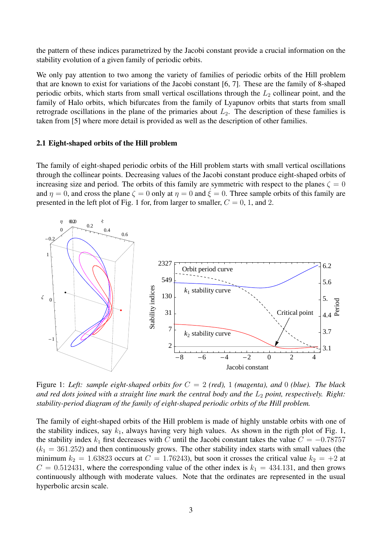the pattern of these indices parametrized by the Jacobi constant provide a crucial information on the stability evolution of a given family of periodic orbits.

We only pay attention to two among the variety of families of periodic orbits of the Hill problem that are known to exist for variations of the Jacobi constant [6, 7]. These are the family of 8-shaped periodic orbits, which starts from small vertical oscillations through the  $L_2$  collinear point, and the family of Halo orbits, which bifurcates from the family of Lyapunov orbits that starts from small retrograde oscillations in the plane of the primaries about  $L_2$ . The description of these families is taken from [5] where more detail is provided as well as the description of other families.

### 2.1 Eight-shaped orbits of the Hill problem

The family of eight-shaped periodic orbits of the Hill problem starts with small vertical oscillations through the collinear points. Decreasing values of the Jacobi constant produce eight-shaped orbits of increasing size and period. The orbits of this family are symmetric with respect to the planes  $\zeta = 0$ and  $\eta = 0$ , and cross the plane  $\zeta = 0$  only at  $\eta = 0$  and  $\dot{\zeta} = 0$ . Three sample orbits of this family are presented in the left plot of Fig. 1 for, from larger to smaller,  $C = 0, 1,$  and 2.



Figure 1: *Left: sample eight-shaped orbits for* C = 2 *(red),* 1 *(magenta), and* 0 *(blue). The black and red dots joined with a straight line mark the central body and the*  $L_2$  *point, respectively. Right: stability-period diagram of the family of eight-shaped periodic orbits of the Hill problem.*

The family of eight-shaped orbits of the Hill problem is made of highly unstable orbits with one of the stability indices, say  $k_1$ , always having very high values. As shown in the rigth plot of Fig. 1, the stability index  $k_1$  first decreases with C until the Jacobi constant takes the value  $C = -0.78757$  $(k_1 = 361.252)$  and then continuously grows. The other stability index starts with small values (the minimum  $k_2 = 1.63823$  occurs at  $C = 1.76243$ , but soon it crosses the critical value  $k_2 = +2$  at  $C = 0.512431$ , where the corresponding value of the other index is  $k_1 = 434.131$ , and then grows continuously although with moderate values. Note that the ordinates are represented in the usual hyperbolic arcsin scale.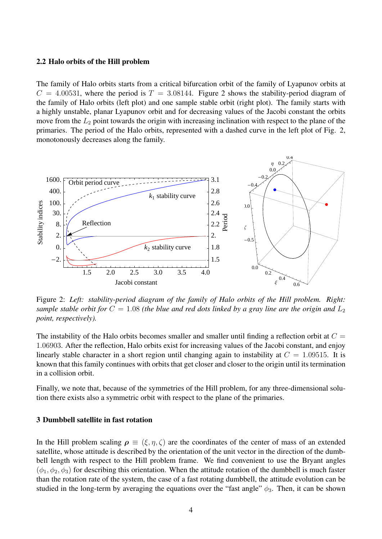#### 2.2 Halo orbits of the Hill problem

The family of Halo orbits starts from a critical bifurcation orbit of the family of Lyapunov orbits at  $C = 4.00531$ , where the period is  $T = 3.08144$ . Figure 2 shows the stability-period diagram of the family of Halo orbits (left plot) and one sample stable orbit (right plot). The family starts with a highly unstable, planar Lyapunov orbit and for decreasing values of the Jacobi constant the orbits move from the  $L_2$  point towards the origin with increasing inclination with respect to the plane of the primaries. The period of the Halo orbits, represented with a dashed curve in the left plot of Fig. 2, monotonously decreases along the family.



Figure 2: *Left: stability-period diagram of the family of Halo orbits of the Hill problem. Right: sample stable orbit for*  $C = 1.08$  *(the blue and red dots linked by a gray line are the origin and*  $L_2$ *point, respectively).*

The instability of the Halo orbits becomes smaller and smaller until finding a reflection orbit at  $C =$ 1.06903. After the reflection, Halo orbits exist for increasing values of the Jacobi constant, and enjoy linearly stable character in a short region until changing again to instability at  $C = 1.09515$ . It is known that this family continues with orbits that get closer and closer to the origin until its termination in a collision orbit.

Finally, we note that, because of the symmetries of the Hill problem, for any three-dimensional solution there exists also a symmetric orbit with respect to the plane of the primaries.

## 3 Dumbbell satellite in fast rotation

In the Hill problem scaling  $\rho \equiv (\xi, \eta, \zeta)$  are the coordinates of the center of mass of an extended satellite, whose attitude is described by the orientation of the unit vector in the direction of the dumbbell length with respect to the Hill problem frame. We find convenient to use the Bryant angles  $(\phi_1, \phi_2, \phi_3)$  for describing this orientation. When the attitude rotation of the dumbbell is much faster than the rotation rate of the system, the case of a fast rotating dumbbell, the attitude evolution can be studied in the long-term by averaging the equations over the "fast angle"  $\phi_3$ . Then, it can be shown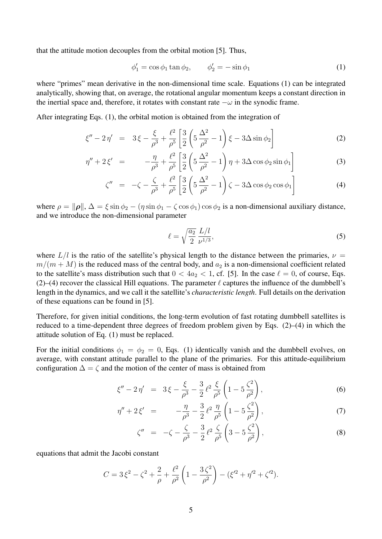that the attitude motion decouples from the orbital motion [5]. Thus,

$$
\phi_1' = \cos \phi_1 \tan \phi_2, \qquad \phi_2' = -\sin \phi_1 \tag{1}
$$

where "primes" mean derivative in the non-dimensional time scale. Equations (1) can be integrated analytically, showing that, on average, the rotational angular momentum keeps a constant direction in the inertial space and, therefore, it rotates with constant rate  $-\omega$  in the synodic frame.

After integrating Eqs. (1), the orbital motion is obtained from the integration of

$$
\xi'' - 2\eta' = 3\xi - \frac{\xi}{\rho^3} + \frac{\ell^2}{\rho^5} \left[ \frac{3}{2} \left( 5\frac{\Delta^2}{\rho^2} - 1 \right) \xi - 3\Delta \sin \phi_2 \right]
$$
 (2)

$$
\eta'' + 2\xi' = -\frac{\eta}{\rho^3} + \frac{\ell^2}{\rho^5} \left[ \frac{3}{2} \left( 5\frac{\Delta^2}{\rho^2} - 1 \right) \eta + 3\Delta \cos \phi_2 \sin \phi_1 \right]
$$
(3)

$$
\zeta'' = -\zeta - \frac{\zeta}{\rho^3} + \frac{\ell^2}{\rho^5} \left[ \frac{3}{2} \left( 5 \frac{\Delta^2}{\rho^2} - 1 \right) \zeta - 3 \Delta \cos \phi_2 \cos \phi_1 \right]
$$
(4)

where  $\rho = ||\rho||$ ,  $\Delta = \xi \sin \phi_2 - (\eta \sin \phi_1 - \zeta \cos \phi_1) \cos \phi_2$  is a non-dimensional auxiliary distance, and we introduce the non-dimensional parameter

$$
\ell = \sqrt{\frac{a_2}{2}} \frac{L/l}{\nu^{1/3}},\tag{5}
$$

where  $L/l$  is the ratio of the satellite's physical length to the distance between the primaries,  $\nu =$  $m/(m + M)$  is the reduced mass of the central body, and  $a_2$  is a non-dimensional coefficient related to the satellite's mass distribution such that  $0 < 4a_2 < 1$ , cf. [5]. In the case  $\ell = 0$ , of course, Eqs. (2)–(4) recover the classical Hill equations. The parameter  $\ell$  captures the influence of the dumbbell's length in the dynamics, and we call it the satellite's *characteristic length*. Full details on the derivation of these equations can be found in [5].

Therefore, for given initial conditions, the long-term evolution of fast rotating dumbbell satellites is reduced to a time-dependent three degrees of freedom problem given by Eqs. (2)–(4) in which the attitude solution of Eq. (1) must be replaced.

For the initial conditions  $\phi_1 = \phi_2 = 0$ , Eqs. (1) identically vanish and the dumbbell evolves, on average, with constant attitude parallel to the plane of the primaries. For this attitude-equilibrium configuration  $\Delta = \zeta$  and the motion of the center of mass is obtained from

$$
\xi'' - 2\eta' = 3\xi - \frac{\xi}{\rho^3} - \frac{3}{2}\ell^2 \frac{\xi}{\rho^5} \left(1 - 5\frac{\zeta^2}{\rho^2}\right),\tag{6}
$$

$$
\eta'' + 2\xi' = -\frac{\eta}{\rho^3} - \frac{3}{2}\ell^2 \frac{\eta}{\rho^5} \left(1 - 5\frac{\zeta^2}{\rho^2}\right),\tag{7}
$$

$$
\zeta'' = -\zeta - \frac{\zeta}{\rho^3} - \frac{3}{2} \ell^2 \frac{\zeta}{\rho^5} \left( 3 - 5 \frac{\zeta^2}{\rho^2} \right),\tag{8}
$$

equations that admit the Jacobi constant

$$
C = 3\xi^{2} - \zeta^{2} + \frac{2}{\rho} + \frac{\ell^{2}}{\rho^{2}}\left(1 - \frac{3\zeta^{2}}{\rho^{2}}\right) - (\xi'^{2} + \eta'^{2} + \zeta'^{2}).
$$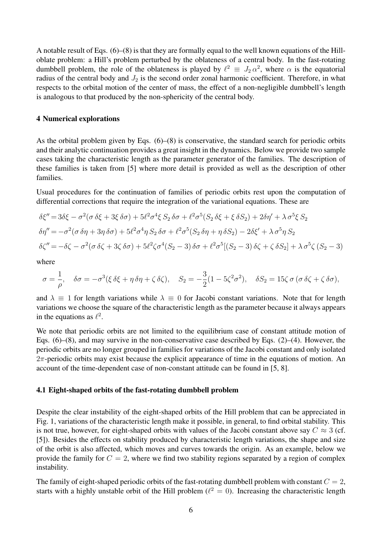A notable result of Eqs. (6)–(8) is that they are formally equal to the well known equations of the Hilloblate problem: a Hill's problem perturbed by the oblateness of a central body. In the fast-rotating dumbbell problem, the role of the oblateness is played by  $\ell^2 \equiv J_2 \alpha^2$ , where  $\alpha$  is the equatorial radius of the central body and  $J_2$  is the second order zonal harmonic coefficient. Therefore, in what respects to the orbital motion of the center of mass, the effect of a non-negligible dumbbell's length is analogous to that produced by the non-sphericity of the central body.

#### 4 Numerical explorations

As the orbital problem given by Eqs. (6)–(8) is conservative, the standard search for periodic orbits and their analytic continuation provides a great insight in the dynamics. Below we provide two sample cases taking the characteristic length as the parameter generator of the families. The description of these families is taken from [5] where more detail is provided as well as the description of other families.

Usual procedures for the continuation of families of periodic orbits rest upon the computation of differential corrections that require the integration of the variational equations. These are

$$
\delta \xi'' = 3\delta \xi - \sigma^2 (\sigma \delta \xi + 3\xi \delta \sigma) + 5\ell^2 \sigma^4 \xi S_2 \delta \sigma + \ell^2 \sigma^5 (S_2 \delta \xi + \xi \delta S_2) + 2\delta \eta' + \lambda \sigma^5 \xi S_2
$$
  
\n
$$
\delta \eta'' = -\sigma^2 (\sigma \delta \eta + 3\eta \delta \sigma) + 5\ell^2 \sigma^4 \eta S_2 \delta \sigma + \ell^2 \sigma^5 (S_2 \delta \eta + \eta \delta S_2) - 2\delta \xi' + \lambda \sigma^5 \eta S_2
$$
  
\n
$$
\delta \zeta'' = -\delta \zeta - \sigma^2 (\sigma \delta \zeta + 3\zeta \delta \sigma) + 5\ell^2 \zeta \sigma^4 (S_2 - 3) \delta \sigma + \ell^2 \sigma^5 [(S_2 - 3) \delta \zeta + \zeta \delta S_2] + \lambda \sigma^5 \zeta (S_2 - 3)
$$

where

$$
\sigma = \frac{1}{\rho}, \quad \delta\sigma = -\sigma^3(\xi\,\delta\xi + \eta\,\delta\eta + \zeta\,\delta\zeta), \quad S_2 = -\frac{3}{2}(1 - 5\zeta^2\sigma^2), \quad \delta S_2 = 15\zeta\,\sigma\,(\sigma\,\delta\zeta + \zeta\,\delta\sigma),
$$

and  $\lambda \equiv 1$  for length variations while  $\lambda \equiv 0$  for Jacobi constant variations. Note that for length variations we choose the square of the characteristic length as the parameter because it always appears in the equations as  $\ell^2$ .

We note that periodic orbits are not limited to the equilibrium case of constant attitude motion of Eqs.  $(6)$ – $(8)$ , and may survive in the non-conservative case described by Eqs.  $(2)$ – $(4)$ . However, the periodic orbits are no longer grouped in families for variations of the Jacobi constant and only isolated  $2\pi$ -periodic orbits may exist because the explicit appearance of time in the equations of motion. An account of the time-dependent case of non-constant attitude can be found in [5, 8].

#### 4.1 Eight-shaped orbits of the fast-rotating dumbbell problem

Despite the clear instability of the eight-shaped orbits of the Hill problem that can be appreciated in Fig. 1, variations of the characteristic length make it possible, in general, to find orbital stability. This is not true, however, for eight-shaped orbits with values of the Jacobi constant above say  $C \approx 3$  (cf. [5]). Besides the effects on stability produced by characteristic length variations, the shape and size of the orbit is also affected, which moves and curves towards the origin. As an example, below we provide the family for  $C = 2$ , where we find two stability regions separated by a region of complex instability.

The family of eight-shaped periodic orbits of the fast-rotating dumbbell problem with constant  $C = 2$ , starts with a highly unstable orbit of the Hill problem ( $\ell^2 = 0$ ). Increasing the characteristic length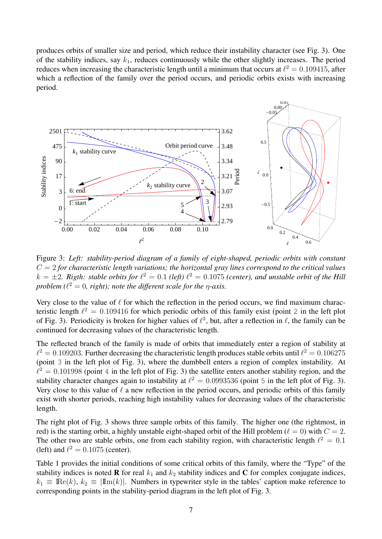produces orbits of smaller size and period, which reduce their instability character (see Fig. 3). One of the stability indices, say  $k_1$ , reduces continuously while the other slightly increases. The period reduces when increasing the characteristic length until a minimum that occurs at  $\ell^2 = 0.109415$ , after which a reflection of the family over the period occurs, and periodic orbits exists with increasing period.



Figure 3: *Left: stability-period diagram of a family of eight-shaped, periodic orbits with constant*  $C = 2$  for characteristic length variations; the horizontal gray lines correspond to the critical values  $k = \pm 2$ . Rigth: stable orbits for  $\ell^2 = 0.1$  (left)  $\ell^2 = 0.1075$  (center), and unstable orbit of the Hill *problem* ( $\ell^2 = 0$ , right); note the different scale for the  $\eta$ -axis.

Very close to the value of  $\ell$  for which the reflection in the period occurs, we find maximum characteristic length  $\ell^2 = 0.109416$  for which periodic orbits of this family exist (point 2 in the left plot of Fig. 3). Periodicity is broken for higher values of  $\ell^2$ , but, after a reflection in  $\ell$ , the family can be continued for decreasing values of the characteristic length.

The reflected branch of the family is made of orbits that immediately enter a region of stability at  $\ell^2 = 0.109203$ . Further decreasing the characteristic length produces stable orbits until  $\ell^2 = 0.106275$ (point 3 in the left plot of Fig. 3), where the dumbbell enters a region of complex instability. At  $l^2 = 0.101998$  (point 4 in the left plot of Fig. 3) the satellite enters another stability region, and the stability character changes again to instability at  $\ell^2 = 0.0993536$  (point 5 in the left plot of Fig. 3). Very close to this value of  $\ell$  a new reflection in the period occurs, and periodic orbits of this family exist with shorter periods, reaching high instability values for decreasing values of the characteristic length.

The right plot of Fig. 3 shows three sample orbits of this family. The higher one (the rightmost, in red) is the starting orbit, a highly unstable eight-shaped orbit of the Hill problem ( $\ell = 0$ ) with  $C = 2$ . The other two are stable orbits, one from each stability region, with characteristic length  $\ell^2 = 0.1$ (left) and  $\ell^2 = 0.1075$  (center).

Table 1 provides the initial conditions of some critical orbits of this family, where the "Type" of the stability indices is noted **R** for real  $k_1$  and  $k_2$  stability indices and **C** for complex conjugate indices,  $k_1 \equiv \text{Re}(k)$ ,  $k_2 \equiv \text{Im}(k)$ . Numbers in typewriter style in the tables' caption make reference to corresponding points in the stability-period diagram in the left plot of Fig. 3.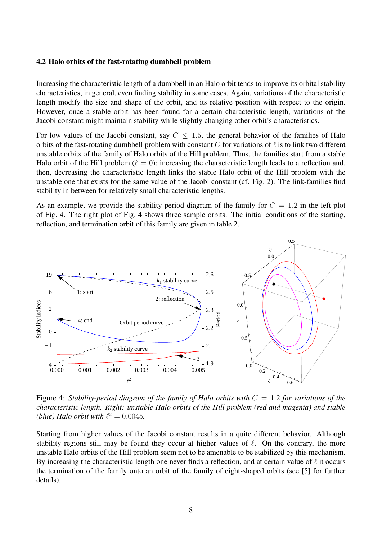#### 4.2 Halo orbits of the fast-rotating dumbbell problem

Increasing the characteristic length of a dumbbell in an Halo orbit tends to improve its orbital stability characteristics, in general, even finding stability in some cases. Again, variations of the characteristic length modify the size and shape of the orbit, and its relative position with respect to the origin. However, once a stable orbit has been found for a certain characteristic length, variations of the Jacobi constant might maintain stability while slightly changing other orbit's characteristics.

For low values of the Jacobi constant, say  $C \leq 1.5$ , the general behavior of the families of Halo orbits of the fast-rotating dumbbell problem with constant  $C$  for variations of  $\ell$  is to link two different unstable orbits of the family of Halo orbits of the Hill problem. Thus, the families start from a stable Halo orbit of the Hill problem ( $\ell = 0$ ); increasing the characteristic length leads to a reflection and, then, decreasing the characteristic length links the stable Halo orbit of the Hill problem with the unstable one that exists for the same value of the Jacobi constant (cf. Fig. 2). The link-families find stability in between for relatively small characteristic lengths.

As an example, we provide the stability-period diagram of the family for  $C = 1.2$  in the left plot of Fig. 4. The right plot of Fig. 4 shows three sample orbits. The initial conditions of the starting, reflection, and termination orbit of this family are given in table 2.



Figure 4: *Stability-period diagram of the family of Halo orbits with* C = 1.2 *for variations of the characteristic length. Right: unstable Halo orbits of the Hill problem (red and magenta) and stable (blue)* Halo orbit with  $\ell^2 = 0.0045$ .

Starting from higher values of the Jacobi constant results in a quite different behavior. Although stability regions still may be found they occur at higher values of  $\ell$ . On the contrary, the more unstable Halo orbits of the Hill problem seem not to be amenable to be stabilized by this mechanism. By increasing the characteristic length one never finds a reflection, and at certain value of  $\ell$  it occurs the termination of the family onto an orbit of the family of eight-shaped orbits (see [5] for further details).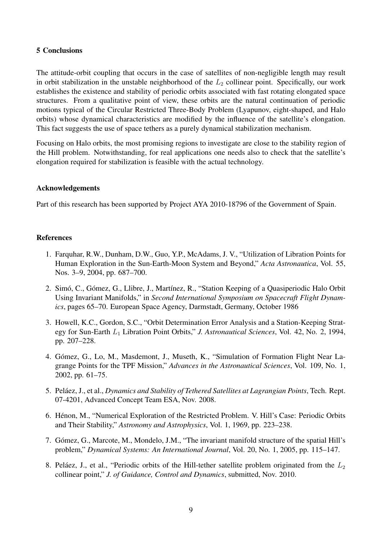### 5 Conclusions

The attitude-orbit coupling that occurs in the case of satellites of non-negligible length may result in orbit stabilization in the unstable neighborhood of the  $L_2$  collinear point. Specifically, our work establishes the existence and stability of periodic orbits associated with fast rotating elongated space structures. From a qualitative point of view, these orbits are the natural continuation of periodic motions typical of the Circular Restricted Three-Body Problem (Lyapunov, eight-shaped, and Halo orbits) whose dynamical characteristics are modified by the influence of the satellite's elongation. This fact suggests the use of space tethers as a purely dynamical stabilization mechanism.

Focusing on Halo orbits, the most promising regions to investigate are close to the stability region of the Hill problem. Notwithstanding, for real applications one needs also to check that the satellite's elongation required for stabilization is feasible with the actual technology.

## Acknowledgements

Part of this research has been supported by Project AYA 2010-18796 of the Government of Spain.

## References

- 1. Farquhar, R.W., Dunham, D.W., Guo, Y.P., McAdams, J. V., "Utilization of Libration Points for Human Exploration in the Sun-Earth-Moon System and Beyond," *Acta Astronautica*, Vol. 55, Nos. 3–9, 2004, pp. 687–700.
- 2. Simó, C., Gómez, G., Llibre, J., Martínez, R., "Station Keeping of a Quasiperiodic Halo Orbit Using Invariant Manifolds," in *Second International Symposium on Spacecraft Flight Dynamics*, pages 65–70. European Space Agency, Darmstadt, Germany, October 1986
- 3. Howell, K.C., Gordon, S.C., "Orbit Determination Error Analysis and a Station-Keeping Strategy for Sun-Earth L<sup>1</sup> Libration Point Orbits," *J. Astronautical Sciences*, Vol. 42, No. 2, 1994, pp. 207–228.
- 4. Gómez, G., Lo, M., Masdemont, J., Museth, K., "Simulation of Formation Flight Near Lagrange Points for the TPF Mission," *Advances in the Astronautical Sciences*, Vol. 109, No. 1, 2002, pp. 61–75.
- 5. Peláez, J., et al., *Dynamics and Stability of Tethered Satellites at Lagrangian Points*, Tech. Rept. 07-4201, Advanced Concept Team ESA, Nov. 2008.
- 6. Hénon, M., "Numerical Exploration of the Restricted Problem. V. Hill's Case: Periodic Orbits and Their Stability," *Astronomy and Astrophysics*, Vol. 1, 1969, pp. 223–238.
- 7. Gómez, G., Marcote, M., Mondelo, J.M., "The invariant manifold structure of the spatial Hill's problem," *Dynamical Systems: An International Journal*, Vol. 20, No. 1, 2005, pp. 115–147.
- 8. Peláez, J., et al., "Periodic orbits of the Hill-tether satellite problem originated from the  $L_2$ collinear point," *J. of Guidance, Control and Dynamics*, submitted, Nov. 2010.